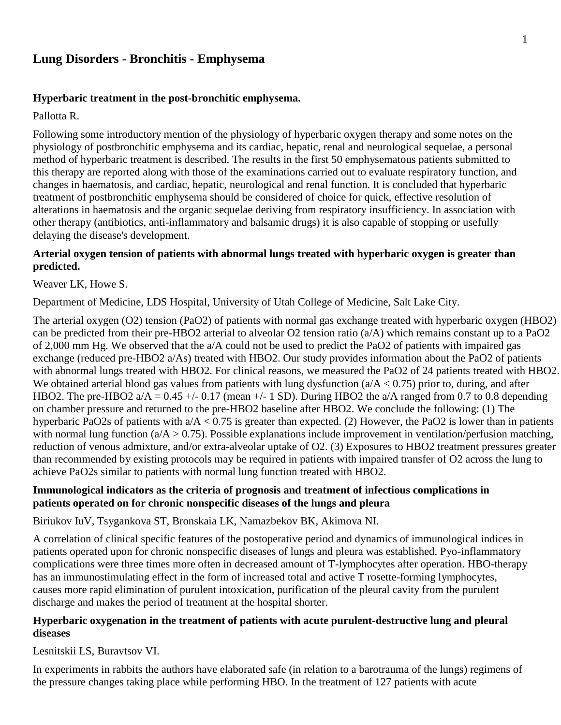# **Lung Disorders - Bronchitis - Emphysema**

#### **Hyperbaric treatment in the post-bronchitic emphysema.**

Pallotta R.

Following some introductory mention of the physiology of hyperbaric oxygen therapy and some notes on the physiology of postbronchitic emphysema and its cardiac, hepatic, renal and neurological sequelae, a personal method of hyperbaric treatment is described. The results in the first 50 emphysematous patients submitted to this therapy are reported along with those of the examinations carried out to evaluate respiratory function, and changes in haematosis, and cardiac, hepatic, neurological and renal function. It is concluded that hyperbaric treatment of postbronchitic emphysema should be considered of choice for quick, effective resolution of alterations in haematosis and the organic sequelae deriving from respiratory insufficiency. In association with other therapy (antibiotics, anti-inflammatory and balsamic drugs) it is also capable of stopping or usefully delaying the disease's development.

#### **Arterial oxygen tension of patients with abnormal lungs treated with hyperbaric oxygen is greater than predicted.**

Weaver LK, Howe S.

Department of Medicine, LDS Hospital, University of Utah College of Medicine, Salt Lake City.

The arterial oxygen (O2) tension (PaO2) of patients with normal gas exchange treated with hyperbaric oxygen (HBO2) can be predicted from their pre-HBO2 arterial to alveolar O2 tension ratio  $(a/A)$  which remains constant up to a PaO2 of 2,000 mm Hg. We observed that the a/A could not be used to predict the PaO2 of patients with impaired gas exchange (reduced pre-HBO2 a/As) treated with HBO2. Our study provides information about the PaO2 of patients with abnormal lungs treated with HBO2. For clinical reasons, we measured the PaO2 of 24 patients treated with HBO2. We obtained arterial blood gas values from patients with lung dysfunction  $(a/A < 0.75)$  prior to, during, and after HBO2. The pre-HBO2  $a/A = 0.45 + (-0.17 \text{ (mean +} - 1 \text{ SD})$ . During HBO2 the  $a/A$  ranged from 0.7 to 0.8 depending on chamber pressure and returned to the pre-HBO2 baseline after HBO2. We conclude the following: (1) The hyperbaric PaO2s of patients with  $a/A < 0.75$  is greater than expected. (2) However, the PaO2 is lower than in patients with normal lung function ( $a/A > 0.75$ ). Possible explanations include improvement in ventilation/perfusion matching, reduction of venous admixture, and/or extra-alveolar uptake of O2. (3) Exposures to HBO2 treatment pressures greater than recommended by existing protocols may be required in patients with impaired transfer of O2 across the lung to achieve PaO2s similar to patients with normal lung function treated with HBO2.

## **Immunological indicators as the criteria of prognosis and treatment of infectious complications in patients operated on for chronic nonspecific diseases of the lungs and pleura**

Biriukov IuV, Tsygankova ST, Bronskaia LK, Namazbekov BK, Akimova NI.

A correlation of clinical specific features of the postoperative period and dynamics of immunological indices in patients operated upon for chronic nonspecific diseases of lungs and pleura was established. Pyo-inflammatory complications were three times more often in decreased amount of T-lymphocytes after operation. HBO-therapy has an immunostimulating effect in the form of increased total and active T rosette-forming lymphocytes, causes more rapid elimination of purulent intoxication, purification of the pleural cavity from the purulent discharge and makes the period of treatment at the hospital shorter.

#### **Hyperbaric oxygenation in the treatment of patients with acute purulent-destructive lung and pleural diseases**

Lesnitskii LS, Buravtsov VI.

In experiments in rabbits the authors have elaborated safe (in relation to a barotrauma of the lungs) regimens of the pressure changes taking place while performing HBO. In the treatment of 127 patients with acute